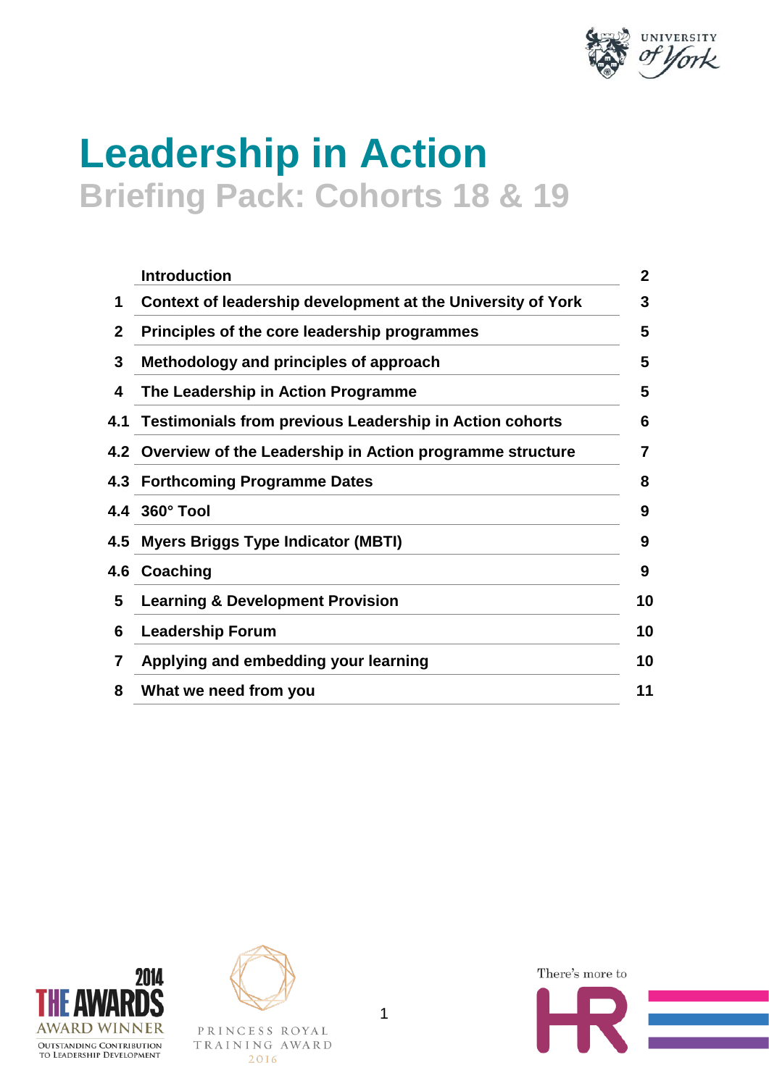

# **Leadership in Action Briefing Pack: Cohorts 18 & 19**

|              | <b>Introduction</b>                                          | $\overline{2}$ |
|--------------|--------------------------------------------------------------|----------------|
| 1            | Context of leadership development at the University of York  | 3              |
| $\mathbf{2}$ | Principles of the core leadership programmes                 | 5              |
| 3            | Methodology and principles of approach                       | 5              |
| 4            | The Leadership in Action Programme                           | 5              |
|              | 4.1 Testimonials from previous Leadership in Action cohorts  | 6              |
|              | 4.2 Overview of the Leadership in Action programme structure | 7              |
|              | 4.3 Forthcoming Programme Dates                              | 8              |
|              | 4.4 360° Tool                                                | 9              |
| 4.5          | <b>Myers Briggs Type Indicator (MBTI)</b>                    | 9              |
| 4.6          | Coaching                                                     | 9              |
| 5            | <b>Learning &amp; Development Provision</b>                  | 10             |
| 6            | <b>Leadership Forum</b>                                      | 10             |
| 7            | Applying and embedding your learning                         | 10             |
| 8            | What we need from you                                        | 11             |





PRINCESS ROYAL TRAINING AWARD 2016

There's more to

1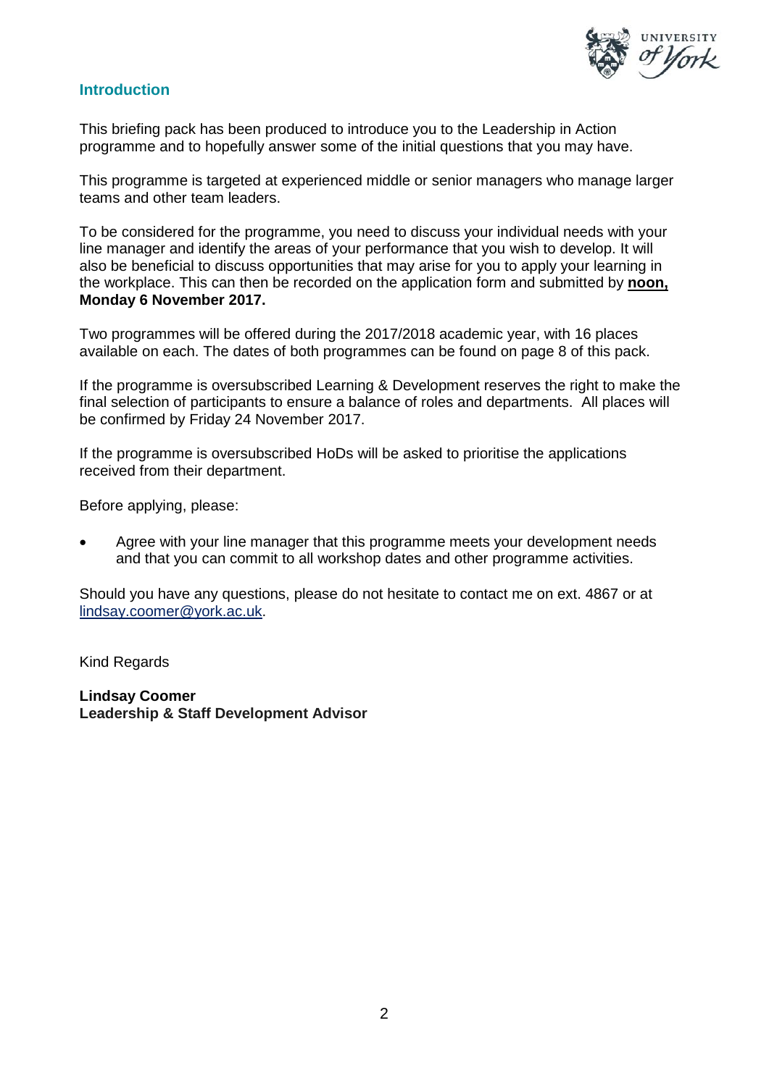

## **Introduction**

This briefing pack has been produced to introduce you to the Leadership in Action programme and to hopefully answer some of the initial questions that you may have.

This programme is targeted at experienced middle or senior managers who manage larger teams and other team leaders.

To be considered for the programme, you need to discuss your individual needs with your line manager and identify the areas of your performance that you wish to develop. It will also be beneficial to discuss opportunities that may arise for you to apply your learning in the workplace. This can then be recorded on the application form and submitted by **noon, Monday 6 November 2017.**

Two programmes will be offered during the 2017/2018 academic year, with 16 places available on each. The dates of both programmes can be found on page 8 of this pack.

If the programme is oversubscribed Learning & Development reserves the right to make the final selection of participants to ensure a balance of roles and departments. All places will be confirmed by Friday 24 November 2017.

If the programme is oversubscribed HoDs will be asked to prioritise the applications received from their department.

Before applying, please:

• Agree with your line manager that this programme meets your development needs and that you can commit to all workshop dates and other programme activities.

Should you have any questions, please do not hesitate to contact me on ext. 4867 or at lindsay.coomer@york.ac.uk.

Kind Regards

**Lindsay Coomer Leadership & Staff Development Advisor**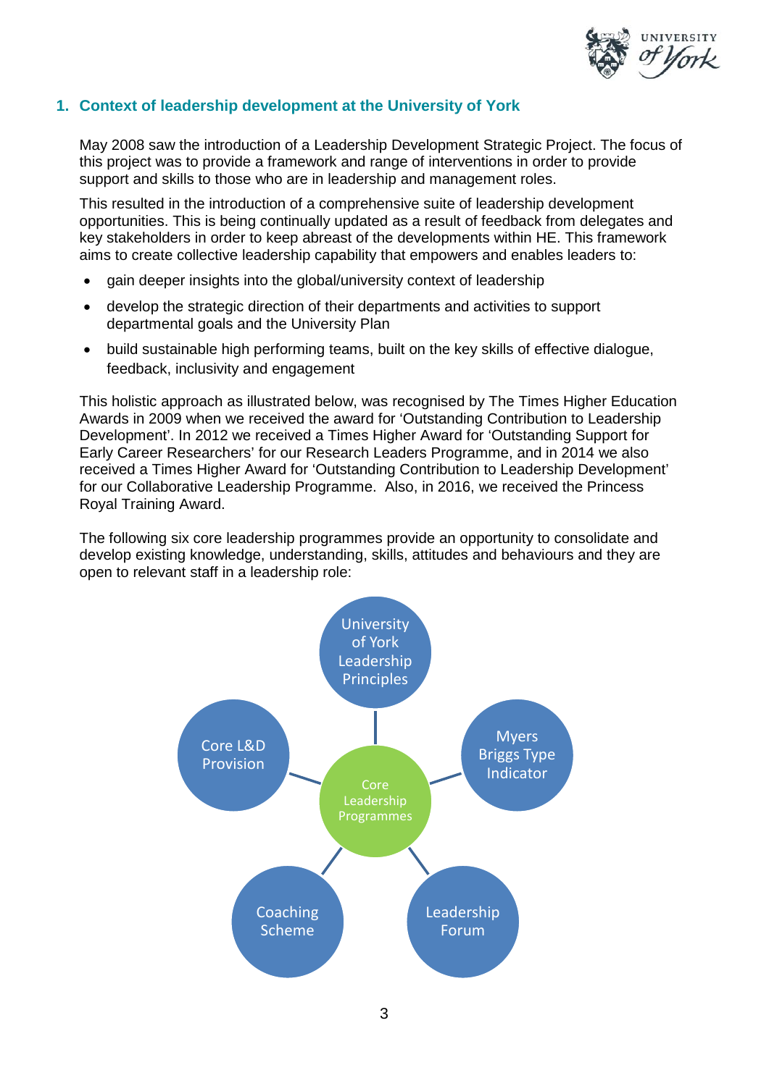

## **1. Context of leadership development at the University of York**

May 2008 saw the introduction of a Leadership Development Strategic Project. The focus of this project was to provide a framework and range of interventions in order to provide support and skills to those who are in leadership and management roles.

This resulted in the introduction of a comprehensive suite of leadership development opportunities. This is being continually updated as a result of feedback from delegates and key stakeholders in order to keep abreast of the developments within HE. This framework aims to create collective leadership capability that empowers and enables leaders to:

- gain deeper insights into the global/university context of leadership
- develop the strategic direction of their departments and activities to support departmental goals and the University Plan
- build sustainable high performing teams, built on the key skills of effective dialogue, feedback, inclusivity and engagement

This holistic approach as illustrated below, was recognised by The Times Higher Education Awards in 2009 when we received the award for 'Outstanding Contribution to Leadership Development'. In 2012 we received a Times Higher Award for 'Outstanding Support for Early Career Researchers' for our Research Leaders Programme, and in 2014 we also received a Times Higher Award for 'Outstanding Contribution to Leadership Development' for our Collaborative Leadership Programme. Also, in 2016, we received the Princess Royal Training Award.

The following six core leadership programmes provide an opportunity to consolidate and develop existing knowledge, understanding, skills, attitudes and behaviours and they are open to relevant staff in a leadership role:

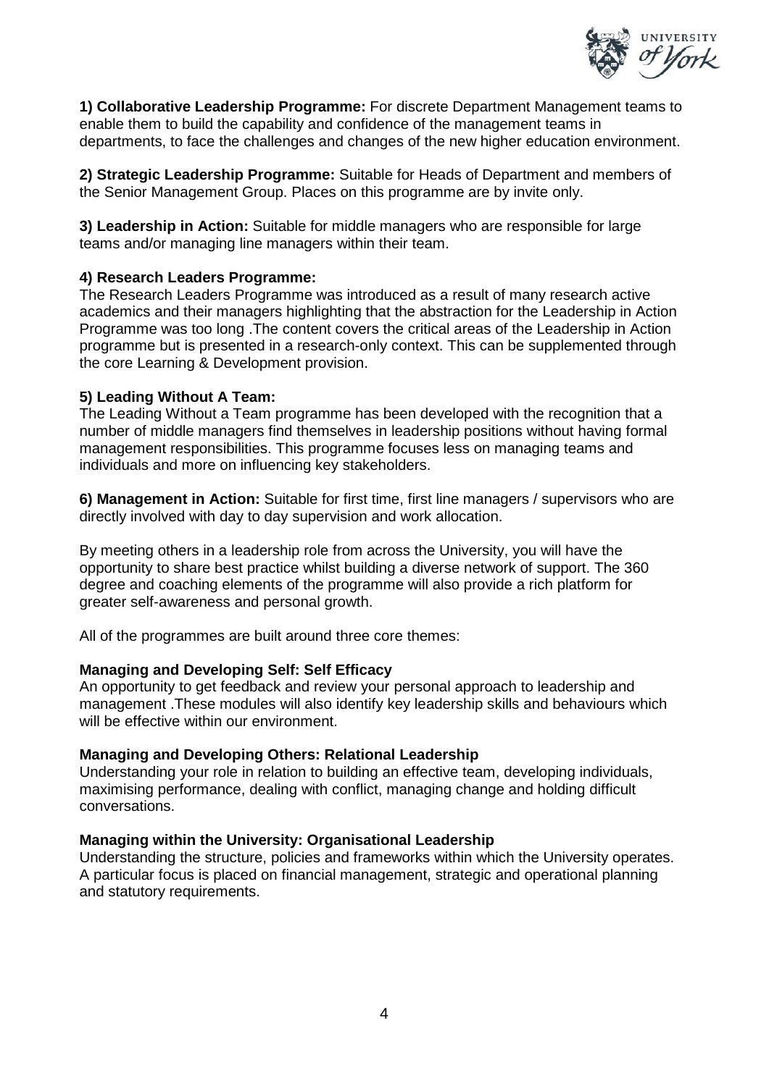

**1) Collaborative Leadership Programme:** For discrete Department Management teams to enable them to build the capability and confidence of the management teams in departments, to face the challenges and changes of the new higher education environment.

**2) Strategic Leadership Programme:** Suitable for Heads of Department and members of the Senior Management Group. Places on this programme are by invite only.

**3) Leadership in Action:** Suitable for middle managers who are responsible for large teams and/or managing line managers within their team.

#### **4) Research Leaders Programme:**

The Research Leaders Programme was introduced as a result of many research active academics and their managers highlighting that the abstraction for the Leadership in Action Programme was too long .The content covers the critical areas of the Leadership in Action programme but is presented in a research-only context. This can be supplemented through the core Learning & Development provision.

#### **5) Leading Without A Team:**

The Leading Without a Team programme has been developed with the recognition that a number of middle managers find themselves in leadership positions without having formal management responsibilities. This programme focuses less on managing teams and individuals and more on influencing key stakeholders.

**6) Management in Action:** Suitable for first time, first line managers / supervisors who are directly involved with day to day supervision and work allocation.

By meeting others in a leadership role from across the University, you will have the opportunity to share best practice whilst building a diverse network of support. The 360 degree and coaching elements of the programme will also provide a rich platform for greater self-awareness and personal growth.

All of the programmes are built around three core themes:

#### **Managing and Developing Self: Self Efficacy**

An opportunity to get feedback and review your personal approach to leadership and management .These modules will also identify key leadership skills and behaviours which will be effective within our environment.

#### **Managing and Developing Others: Relational Leadership**

Understanding your role in relation to building an effective team, developing individuals, maximising performance, dealing with conflict, managing change and holding difficult conversations.

#### **Managing within the University: Organisational Leadership**

Understanding the structure, policies and frameworks within which the University operates. A particular focus is placed on financial management, strategic and operational planning and statutory requirements.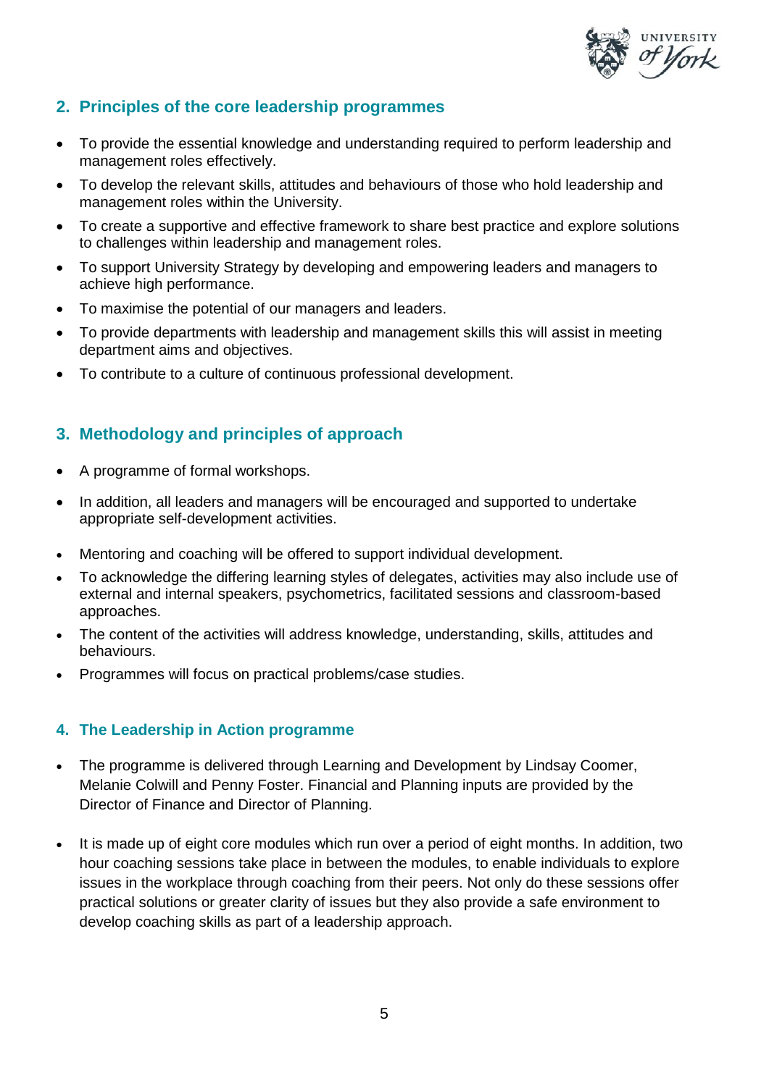

# **2. Principles of the core leadership programmes**

- To provide the essential knowledge and understanding required to perform leadership and management roles effectively.
- To develop the relevant skills, attitudes and behaviours of those who hold leadership and management roles within the University.
- To create a supportive and effective framework to share best practice and explore solutions to challenges within leadership and management roles.
- To support University Strategy by developing and empowering leaders and managers to achieve high performance.
- To maximise the potential of our managers and leaders.
- To provide departments with leadership and management skills this will assist in meeting department aims and objectives.
- To contribute to a culture of continuous professional development.

# **3. Methodology and principles of approach**

- A programme of formal workshops.
- In addition, all leaders and managers will be encouraged and supported to undertake appropriate self-development activities.
- Mentoring and coaching will be offered to support individual development.
- To acknowledge the differing learning styles of delegates, activities may also include use of external and internal speakers, psychometrics, facilitated sessions and classroom-based approaches.
- The content of the activities will address knowledge, understanding, skills, attitudes and behaviours.
- Programmes will focus on practical problems/case studies.

# **4. The Leadership in Action programme**

- The programme is delivered through Learning and Development by Lindsay Coomer, Melanie Colwill and Penny Foster. Financial and Planning inputs are provided by the Director of Finance and Director of Planning.
- It is made up of eight core modules which run over a period of eight months. In addition, two hour coaching sessions take place in between the modules, to enable individuals to explore issues in the workplace through coaching from their peers. Not only do these sessions offer practical solutions or greater clarity of issues but they also provide a safe environment to develop coaching skills as part of a leadership approach.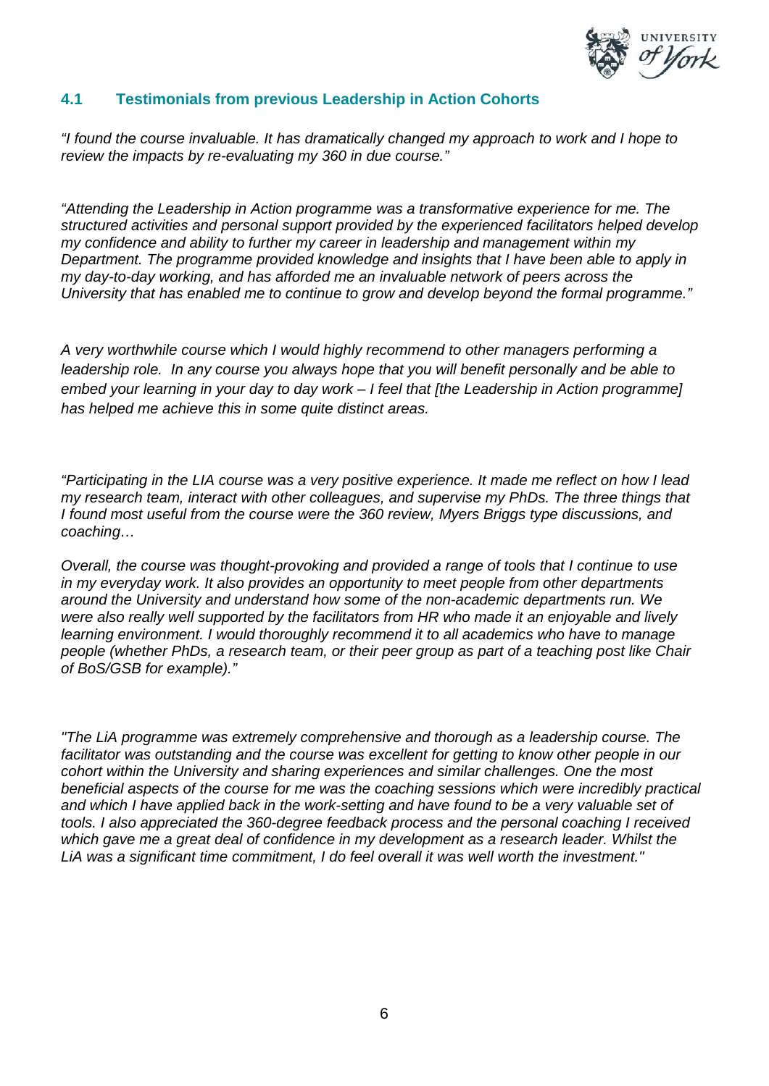

## **4.1 Testimonials from previous Leadership in Action Cohorts**

*"I found the course invaluable. It has dramatically changed my approach to work and I hope to review the impacts by re-evaluating my 360 in due course."*

*"Attending the Leadership in Action programme was a transformative experience for me. The structured activities and personal support provided by the experienced facilitators helped develop my confidence and ability to further my career in leadership and management within my Department. The programme provided knowledge and insights that I have been able to apply in my day-to-day working, and has afforded me an invaluable network of peers across the University that has enabled me to continue to grow and develop beyond the formal programme."*

*A very worthwhile course which I would highly recommend to other managers performing a leadership role. In any course you always hope that you will benefit personally and be able to embed your learning in your day to day work – I feel that [the Leadership in Action programme] has helped me achieve this in some quite distinct areas.* 

*"Participating in the LIA course was a very positive experience. It made me reflect on how I lead my research team, interact with other colleagues, and supervise my PhDs. The three things that I found most useful from the course were the 360 review, Myers Briggs type discussions, and coaching…* 

*Overall, the course was thought-provoking and provided a range of tools that I continue to use in my everyday work. It also provides an opportunity to meet people from other departments around the University and understand how some of the non-academic departments run. We were also really well supported by the facilitators from HR who made it an enjoyable and lively learning environment. I would thoroughly recommend it to all academics who have to manage people (whether PhDs, a research team, or their peer group as part of a teaching post like Chair of BoS/GSB for example)."* 

*"The LiA programme was extremely comprehensive and thorough as a leadership course. The facilitator was outstanding and the course was excellent for getting to know other people in our cohort within the University and sharing experiences and similar challenges. One the most beneficial aspects of the course for me was the coaching sessions which were incredibly practical and which I have applied back in the work-setting and have found to be a very valuable set of tools. I also appreciated the 360-degree feedback process and the personal coaching I received*  which gave me a great deal of confidence in my development as a research leader. Whilst the *LiA was a significant time commitment, I do feel overall it was well worth the investment."*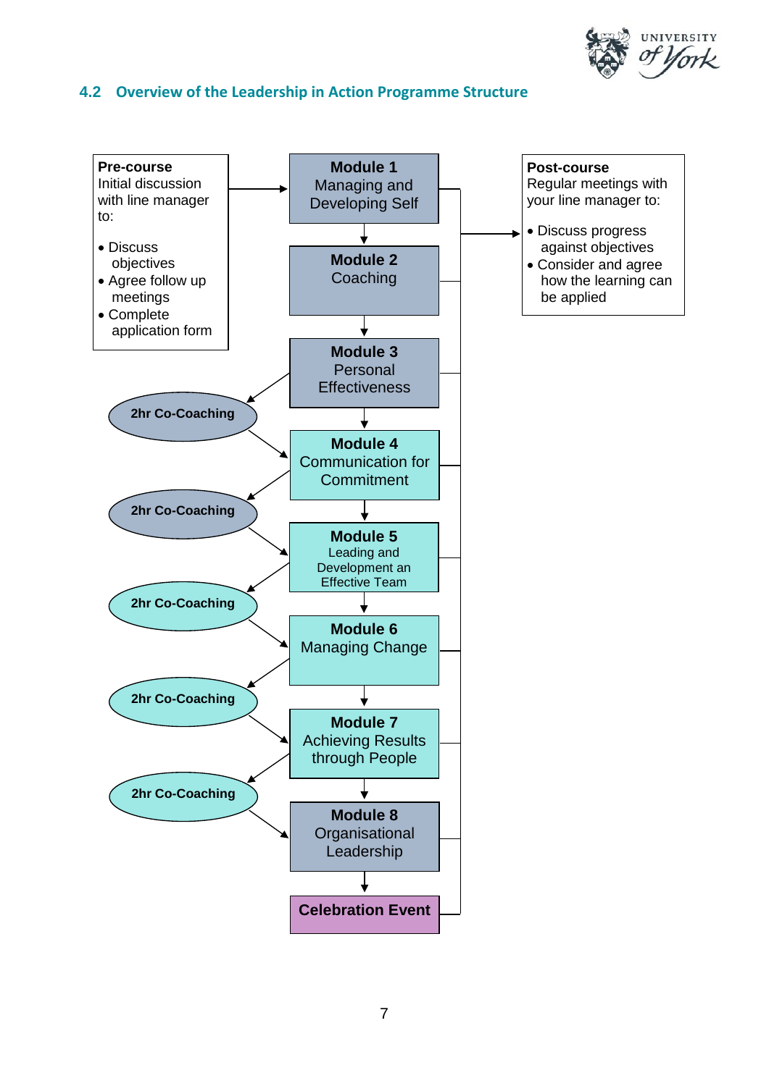

## **4.2 Overview of the Leadership in Action Programme Structure**

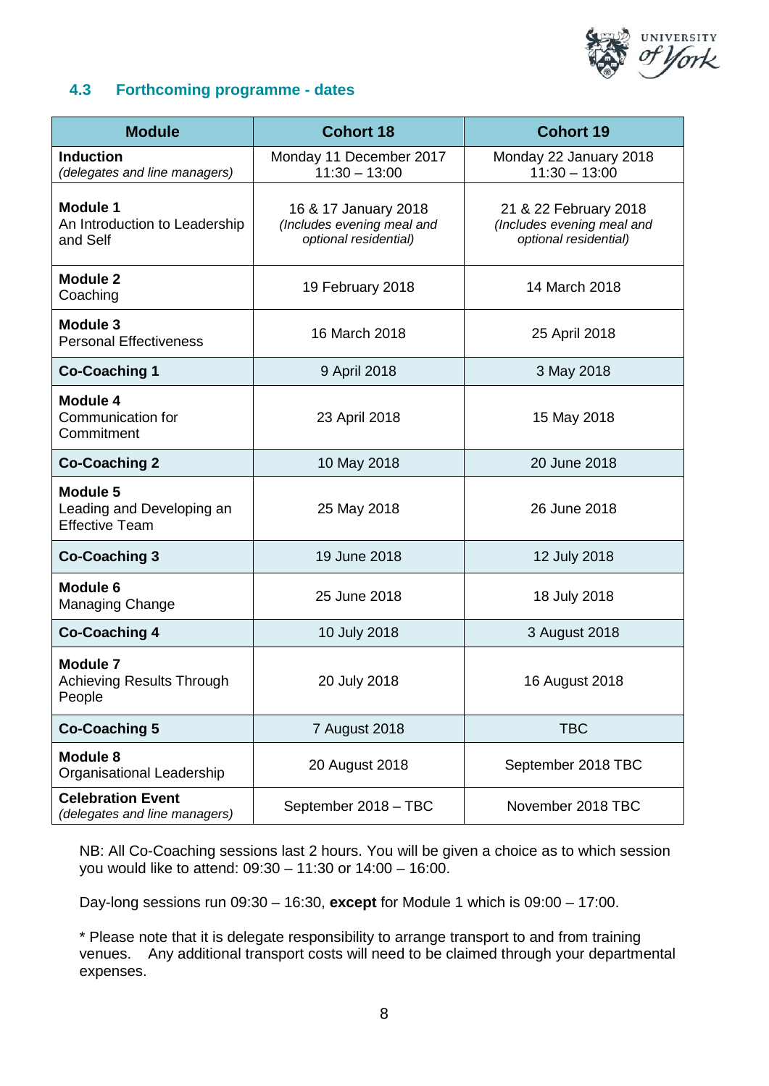

# **4.3 Forthcoming programme - dates**

| <b>Module</b>                                                         | <b>Cohort 18</b>                                                            | <b>Cohort 19</b>                                                             |
|-----------------------------------------------------------------------|-----------------------------------------------------------------------------|------------------------------------------------------------------------------|
| <b>Induction</b><br>(delegates and line managers)                     | Monday 11 December 2017<br>$11:30 - 13:00$                                  | Monday 22 January 2018<br>$11:30 - 13:00$                                    |
| <b>Module 1</b><br>An Introduction to Leadership<br>and Self          | 16 & 17 January 2018<br>(Includes evening meal and<br>optional residential) | 21 & 22 February 2018<br>(Includes evening meal and<br>optional residential) |
| <b>Module 2</b><br>Coaching                                           | 19 February 2018                                                            | 14 March 2018                                                                |
| Module 3<br><b>Personal Effectiveness</b>                             | 16 March 2018                                                               | 25 April 2018                                                                |
| <b>Co-Coaching 1</b>                                                  | 9 April 2018                                                                | 3 May 2018                                                                   |
| Module 4<br>Communication for<br>Commitment                           | 23 April 2018                                                               | 15 May 2018                                                                  |
| <b>Co-Coaching 2</b>                                                  | 10 May 2018                                                                 | 20 June 2018                                                                 |
| <b>Module 5</b><br>Leading and Developing an<br><b>Effective Team</b> | 25 May 2018                                                                 | 26 June 2018                                                                 |
| <b>Co-Coaching 3</b>                                                  | 19 June 2018                                                                | 12 July 2018                                                                 |
| <b>Module 6</b><br>Managing Change                                    | 25 June 2018                                                                | 18 July 2018                                                                 |
| <b>Co-Coaching 4</b>                                                  | 10 July 2018                                                                | 3 August 2018                                                                |
| <b>Module 7</b><br>Achieving Results Through<br>People                | 20 July 2018                                                                | 16 August 2018                                                               |
| <b>Co-Coaching 5</b>                                                  | 7 August 2018                                                               | <b>TBC</b>                                                                   |
| Module 8<br>Organisational Leadership                                 | 20 August 2018                                                              | September 2018 TBC                                                           |
| <b>Celebration Event</b><br>(delegates and line managers)             | September 2018 - TBC                                                        | November 2018 TBC                                                            |

NB: All Co-Coaching sessions last 2 hours. You will be given a choice as to which session you would like to attend: 09:30 – 11:30 or 14:00 – 16:00.

Day-long sessions run 09:30 – 16:30, **except** for Module 1 which is 09:00 – 17:00.

\* Please note that it is delegate responsibility to arrange transport to and from training venues. Any additional transport costs will need to be claimed through your departmental expenses.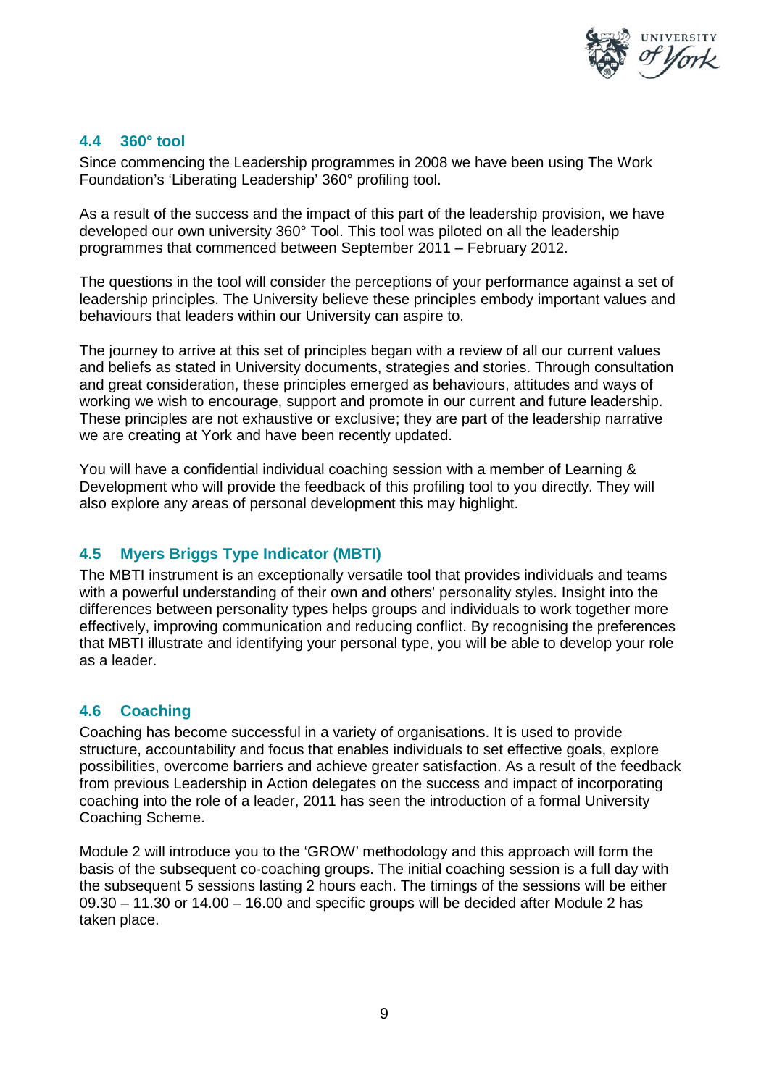

## **4.4 360° tool**

Since commencing the Leadership programmes in 2008 we have been using The Work Foundation's 'Liberating Leadership' 360° profiling tool.

As a result of the success and the impact of this part of the leadership provision, we have developed our own university 360° Tool. This tool was piloted on all the leadership programmes that commenced between September 2011 – February 2012.

The questions in the tool will consider the perceptions of your performance against a set of leadership principles. The University believe these principles embody important values and behaviours that leaders within our University can aspire to.

The journey to arrive at this set of principles began with a review of all our current values and beliefs as stated in University documents, strategies and stories. Through consultation and great consideration, these principles emerged as behaviours, attitudes and ways of working we wish to encourage, support and promote in our current and future leadership. These principles are not exhaustive or exclusive; they are part of the leadership narrative we are creating at York and have been recently updated.

You will have a confidential individual coaching session with a member of Learning & Development who will provide the feedback of this profiling tool to you directly. They will also explore any areas of personal development this may highlight.

# **4.5 Myers Briggs Type Indicator (MBTI)**

The MBTI instrument is an exceptionally versatile tool that provides individuals and teams with a powerful understanding of their own and others' personality styles. Insight into the differences between personality types helps groups and individuals to work together more effectively, improving communication and reducing conflict. By recognising the preferences that MBTI illustrate and identifying your personal type, you will be able to develop your role as a leader.

# **4.6 Coaching**

Coaching has become successful in a variety of organisations. It is used to provide structure, accountability and focus that enables individuals to set effective goals, explore possibilities, overcome barriers and achieve greater satisfaction. As a result of the feedback from previous Leadership in Action delegates on the success and impact of incorporating coaching into the role of a leader, 2011 has seen the introduction of a formal University Coaching Scheme.

Module 2 will introduce you to the 'GROW' methodology and this approach will form the basis of the subsequent co-coaching groups. The initial coaching session is a full day with the subsequent 5 sessions lasting 2 hours each. The timings of the sessions will be either 09.30 – 11.30 or 14.00 – 16.00 and specific groups will be decided after Module 2 has taken place.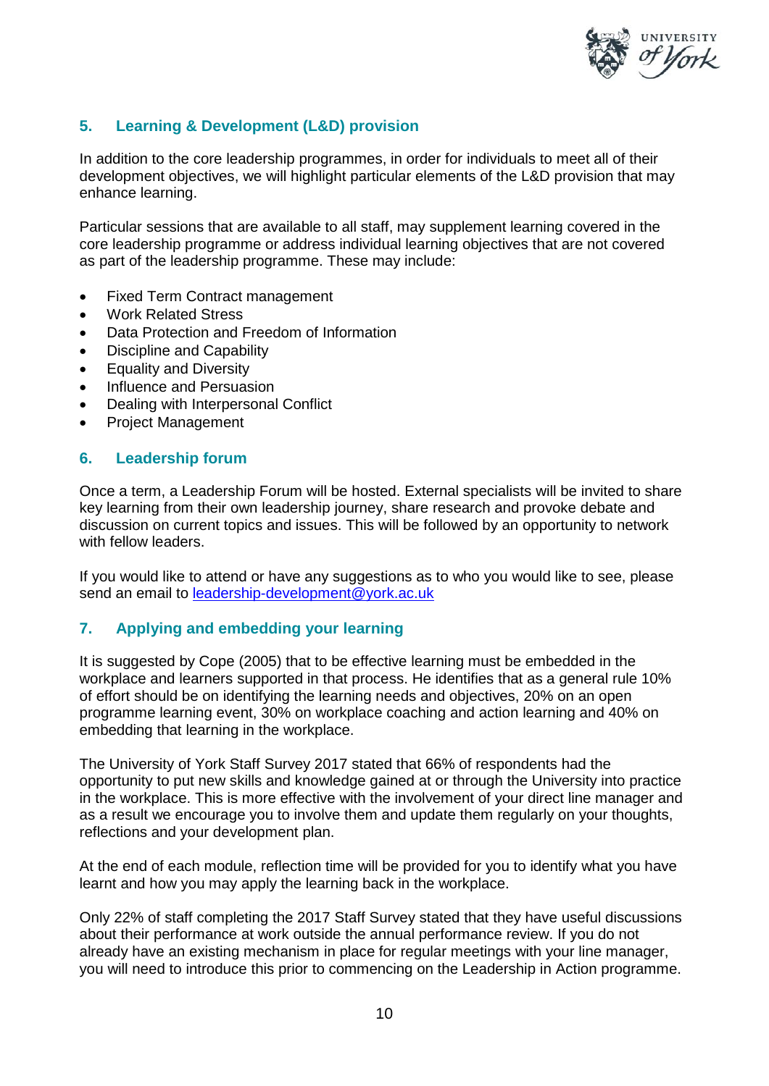

# **5. Learning & Development (L&D) provision**

In addition to the core leadership programmes, in order for individuals to meet all of their development objectives, we will highlight particular elements of the L&D provision that may enhance learning.

Particular sessions that are available to all staff, may supplement learning covered in the core leadership programme or address individual learning objectives that are not covered as part of the leadership programme. These may include:

- Fixed Term Contract management
- Work Related Stress
- Data Protection and Freedom of Information
- Discipline and Capability
- **Equality and Diversity**
- Influence and Persuasion
- Dealing with Interpersonal Conflict
- Project Management

#### **6. Leadership forum**

Once a term, a Leadership Forum will be hosted. External specialists will be invited to share key learning from their own leadership journey, share research and provoke debate and discussion on current topics and issues. This will be followed by an opportunity to network with fellow leaders.

If you would like to attend or have any suggestions as to who you would like to see, please send an email to [leadership-development@york.ac.uk](mailto:leadership-development@york.ac.uk)

#### **7. Applying and embedding your learning**

It is suggested by Cope (2005) that to be effective learning must be embedded in the workplace and learners supported in that process. He identifies that as a general rule 10% of effort should be on identifying the learning needs and objectives, 20% on an open programme learning event, 30% on workplace coaching and action learning and 40% on embedding that learning in the workplace.

The University of York Staff Survey 2017 stated that 66% of respondents had the opportunity to put new skills and knowledge gained at or through the University into practice in the workplace. This is more effective with the involvement of your direct line manager and as a result we encourage you to involve them and update them regularly on your thoughts, reflections and your development plan.

At the end of each module, reflection time will be provided for you to identify what you have learnt and how you may apply the learning back in the workplace.

Only 22% of staff completing the 2017 Staff Survey stated that they have useful discussions about their performance at work outside the annual performance review. If you do not already have an existing mechanism in place for regular meetings with your line manager, you will need to introduce this prior to commencing on the Leadership in Action programme.